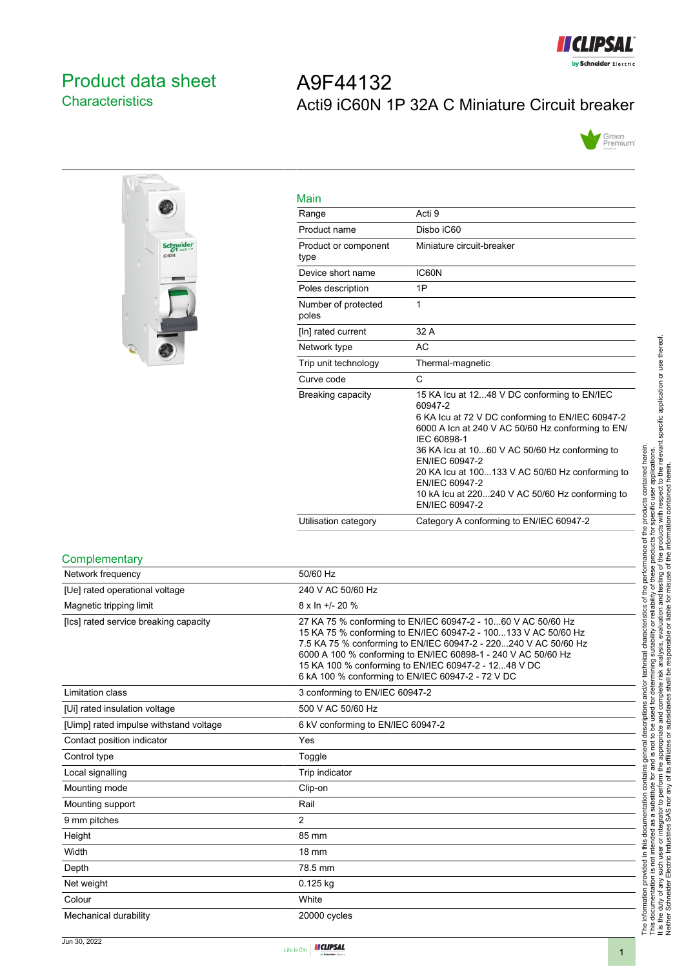

## <span id="page-0-0"></span>Product data sheet **Characteristics**

# A9F44132 Acti9 iC60N 1P 32A C Miniature Circuit breaker





| Main                         |                                                                                                                                                                                                                                                                                                                                                                                             |
|------------------------------|---------------------------------------------------------------------------------------------------------------------------------------------------------------------------------------------------------------------------------------------------------------------------------------------------------------------------------------------------------------------------------------------|
| Range                        | Acti 9                                                                                                                                                                                                                                                                                                                                                                                      |
| Product name                 | Disbo iC60                                                                                                                                                                                                                                                                                                                                                                                  |
| Product or component<br>type | Miniature circuit-breaker                                                                                                                                                                                                                                                                                                                                                                   |
| Device short name            | IC60N                                                                                                                                                                                                                                                                                                                                                                                       |
| Poles description            | 1P                                                                                                                                                                                                                                                                                                                                                                                          |
| Number of protected<br>poles | 1                                                                                                                                                                                                                                                                                                                                                                                           |
| [In] rated current           | 32 A                                                                                                                                                                                                                                                                                                                                                                                        |
| Network type                 | <b>AC</b>                                                                                                                                                                                                                                                                                                                                                                                   |
| Trip unit technology         | Thermal-magnetic                                                                                                                                                                                                                                                                                                                                                                            |
| Curve code                   | C                                                                                                                                                                                                                                                                                                                                                                                           |
| Breaking capacity            | 15 KA Icu at 1248 V DC conforming to EN/IEC<br>60947-2<br>6 KA Icu at 72 V DC conforming to EN/IEC 60947-2<br>6000 A Icn at 240 V AC 50/60 Hz conforming to EN/<br>IEC 60898-1<br>36 KA lcu at 1060 V AC 50/60 Hz conforming to<br>EN/IEC 60947-2<br>20 KA Icu at 100133 V AC 50/60 Hz conforming to<br>EN/IEC 60947-2<br>10 kA lcu at 220240 V AC 50/60 Hz conforming to<br>EN/IEC 60947-2 |
| Utilisation category         | Category A conforming to EN/IEC 60947-2                                                                                                                                                                                                                                                                                                                                                     |

#### **Complementary**

| Network frequency                      | 50/60 Hz                                                                                                                                                                                                                                                                                                                                                                        |
|----------------------------------------|---------------------------------------------------------------------------------------------------------------------------------------------------------------------------------------------------------------------------------------------------------------------------------------------------------------------------------------------------------------------------------|
| [Ue] rated operational voltage         | 240 V AC 50/60 Hz                                                                                                                                                                                                                                                                                                                                                               |
| Magnetic tripping limit                | $8 \times \ln +1$ - 20 %                                                                                                                                                                                                                                                                                                                                                        |
| [Ics] rated service breaking capacity  | 27 KA 75 % conforming to EN/IEC 60947-2 - 1060 V AC 50/60 Hz<br>15 KA 75 % conforming to EN/IEC 60947-2 - 100133 V AC 50/60 Hz<br>7.5 KA 75 % conforming to EN/IEC 60947-2 - 220240 V AC 50/60 Hz<br>6000 A 100 % conforming to EN/IEC 60898-1 - 240 V AC 50/60 Hz<br>15 KA 100 % conforming to EN/IEC 60947-2 - 1248 V DC<br>6 kA 100 % conforming to EN/IEC 60947-2 - 72 V DC |
| Limitation class                       | 3 conforming to EN/IEC 60947-2                                                                                                                                                                                                                                                                                                                                                  |
| [Ui] rated insulation voltage          | 500 V AC 50/60 Hz                                                                                                                                                                                                                                                                                                                                                               |
| [Uimp] rated impulse withstand voltage | 6 kV conforming to EN/IEC 60947-2                                                                                                                                                                                                                                                                                                                                               |
| Contact position indicator             | Yes                                                                                                                                                                                                                                                                                                                                                                             |
| Control type                           | Toggle                                                                                                                                                                                                                                                                                                                                                                          |
| Local signalling                       | Trip indicator                                                                                                                                                                                                                                                                                                                                                                  |
| Mounting mode                          | Clip-on                                                                                                                                                                                                                                                                                                                                                                         |
| Mounting support                       | Rail                                                                                                                                                                                                                                                                                                                                                                            |
| 9 mm pitches                           | 2                                                                                                                                                                                                                                                                                                                                                                               |
| Height                                 | 85 mm                                                                                                                                                                                                                                                                                                                                                                           |
| Width                                  | 18 mm                                                                                                                                                                                                                                                                                                                                                                           |
| Depth                                  | 78.5 mm                                                                                                                                                                                                                                                                                                                                                                         |
| Net weight                             | $0.125$ kg                                                                                                                                                                                                                                                                                                                                                                      |
| Colour                                 | White                                                                                                                                                                                                                                                                                                                                                                           |
| Mechanical durability                  | 20000 cycles                                                                                                                                                                                                                                                                                                                                                                    |